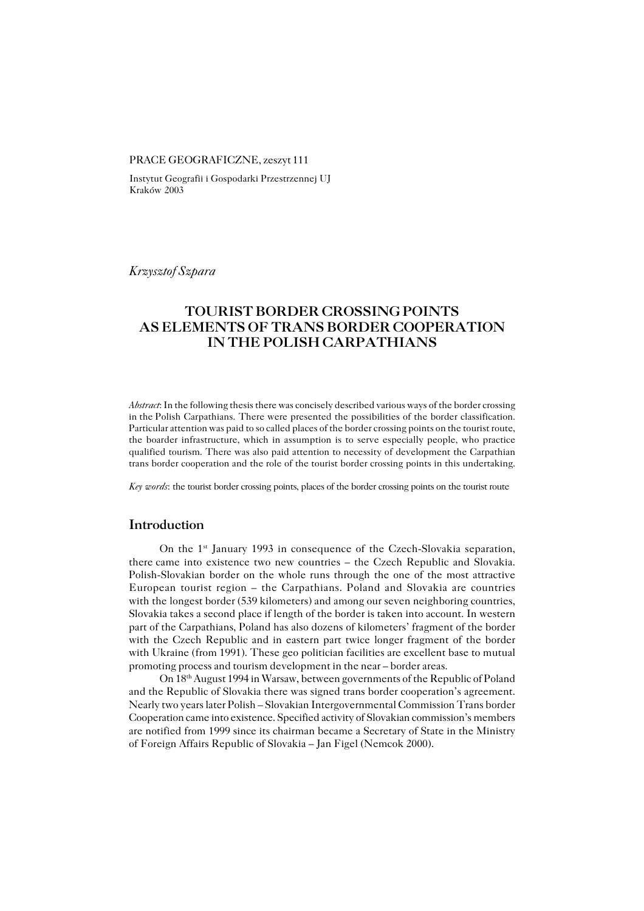#### PRACE GEOGRAFICZNE, zeszyt 111

Instytut Geografii i Gospodarki Przestrzennej UJ Kraków 2003

*Krzysztof Szpara*

# **TOURIST BORDER CROSSING POINTS AS ELEMENTS OF TRANS BORDER COOPERATION IN THE POLISH CARPATHIANS**

*Abstract*: In the following thesis there was concisely described various ways of the border crossing in the Polish Carpathians. There were presented the possibilities of the border classification. Particular attention was paid to so called places of the border crossing points on the tourist route, the boarder infrastructure, which in assumption is to serve especially people, who practice qualified tourism. There was also paid attention to necessity of development the Carpathian trans border cooperation and the role of the tourist border crossing points in this undertaking.

*Key words*: the tourist border crossing points, places of the border crossing points on the tourist route

## **Introduction**

On the 1st January 1993 in consequence of the Czech−Slovakia separation, there came into existence two new countries – the Czech Republic and Slovakia. Polish−Slovakian border on the whole runs through the one of the most attractive European tourist region – the Carpathians. Poland and Slovakia are countries with the longest border (539 kilometers) and among our seven neighboring countries, Slovakia takes a second place if length of the border is taken into account. In western part of the Carpathians, Poland has also dozens of kilometers' fragment of the border with the Czech Republic and in eastern part twice longer fragment of the border with Ukraine (from 1991). These geo politician facilities are excellent base to mutual promoting process and tourism development in the near – border areas.

On 18th August 1994 in Warsaw, between governments of the Republic of Poland and the Republic of Slovakia there was signed trans border cooperation's agreement. Nearly two years later Polish – Slovakian Intergovernmental Commission Trans border Cooperation came into existence. Specified activity of Slovakian commission's members are notified from 1999 since its chairman became a Secretary of State in the Ministry ofForeign Affairs Republic of Slovakia – Jan Figel (Nemcok 2000).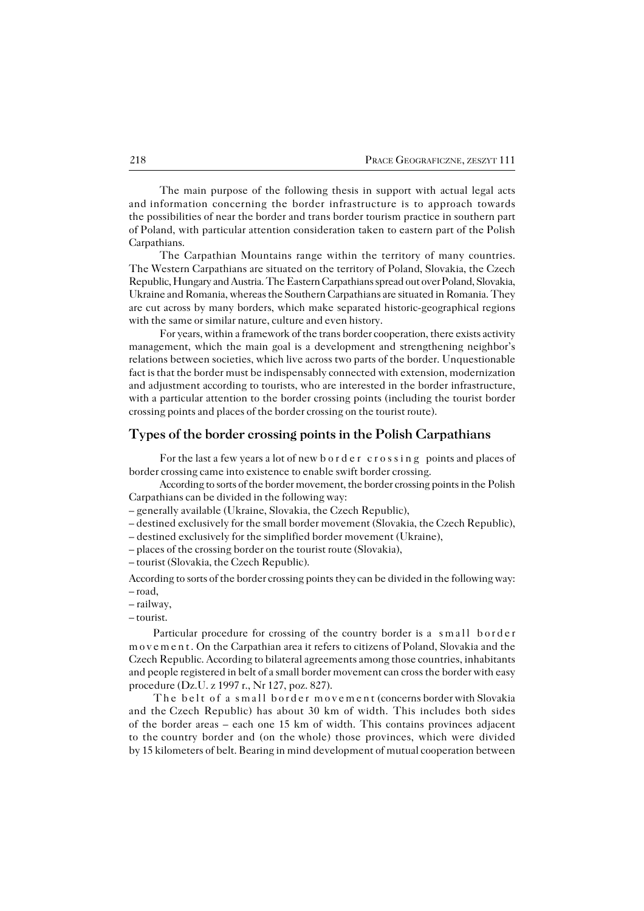The main purpose of the following thesis in support with actual legal acts andinformation concerning the border infrastructure is to approach towards the possibilities of near the border and trans border tourism practice in southern part of Poland, with particular attention consideration taken to eastern part of the Polish Carpathians.

The Carpathian Mountains range within the territory of many countries. The Western Carpathians are situated on the territory of Poland, Slovakia, the Czech Republic, Hungary and Austria. The Eastern Carpathians spread out over Poland, Slovakia, Ukraine and Romania, whereas the Southern Carpathians are situated in Romania. They are cut across by many borders, which make separated historic−geographical regions with the same or similar nature, culture and even history.

For years, within a framework of the trans border cooperation, there exists activity management, which the main goal is a development and strengthening neighbor's relations between societies, which live across two parts of the border. Unquestionable fact is that the border must be indispensably connected with extension, modernization and adjustment according to tourists, who are interested in the border infrastructure, with a particular attention to the border crossing points (including the tourist border crossing points and places of the border crossing on the tourist route).

## **Types of the border crossing points in the Polish Carpathians**

For the last a few years a lot of new border crossing points and places of border crossing came into existence to enable swift border crossing.

According to sorts of the border movement, the border crossing points in the Polish Carpathians can be divided in the following way:

– generally available (Ukraine, Slovakia, the Czech Republic),

– destined exclusively for the small border movement (Slovakia, the Czech Republic),

– destined exclusively for the simplified border movement (Ukraine),

- places of the crossing border on the tourist route (Slovakia),
- tourist (Slovakia, the Czech Republic).

According to sorts of the border crossing points they can be divided in the following way: – road,

- railway,
- tourist.

Particular procedure for crossing of the country border is a small border movement. On the Carpathian area it refers to citizens of Poland, Slovakia and the Czech Republic. According to bilateral agreements among those countries, inhabitants and people registered in belt of a small border movement can cross the border with easy procedure (Dz.U. z 1997 r., Nr 127, poz. 827).

The belt of a small border movemen t (concerns border with Slovakia and theCzech Republic) has about 30 km of width. This includes both sides of the border areas – each one 15 km of width. This contains provinces adjacent to thecountry border and (on thewhole) those provinces, which were divided by 15 kilometers of belt. Bearing in mind development of mutual cooperation between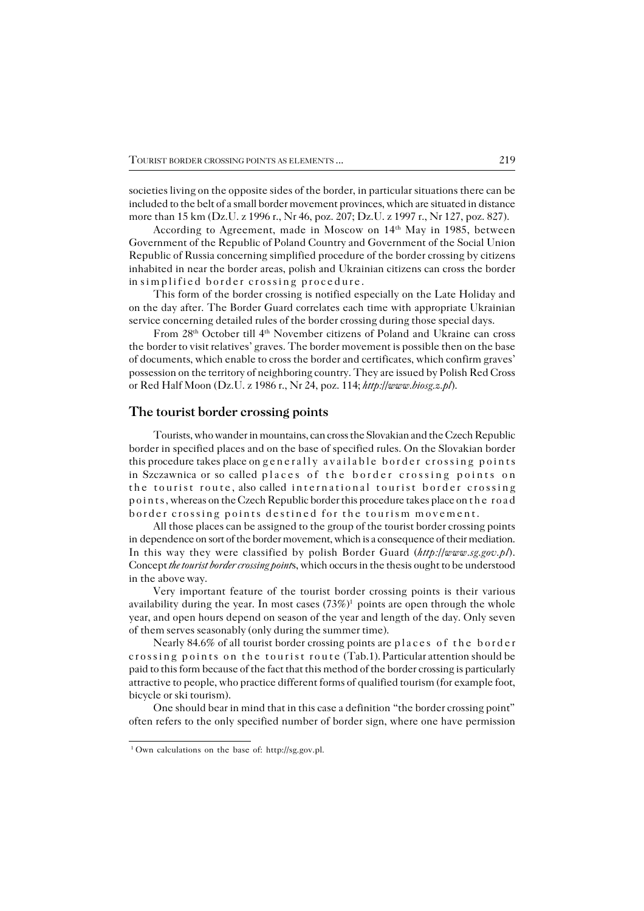societies living on the opposite sides of the border, in particular situations there can be included to the belt of a small border movement provinces, which are situated in distance more than 15 km (Dz.U. z 1996 r., Nr 46, poz. 207; Dz.U. z 1997 r., Nr 127, poz. 827).

According to Agreement, made in Moscow on 14<sup>th</sup> May in 1985, between Government of the Republic of Poland Country and Government of the Social Union Republic of Russia concerning simplified procedure of the border crossing by citizens inhabited in near the border areas, polish and Ukrainian citizens can cross the border insimplified border crossing procedure .

This form of the border crossing is notified especially on the Late Holiday and onthe day after. The Border Guard correlates each time with appropriate Ukrainian service concerning detailed rules of the border crossing during those special days.

From 28th October till 4th November citizens of Poland and Ukraine can cross the border to visit relatives' graves. The border movement is possible then on the base of documents, which enable to cross the border and certificates, which confirm graves' possession on the territory of neighboring country. They are issued by Polish Red Cross or Red Half Moon (Dz.U. z 1986 r., Nr 24, poz. 114; *http://www.biosg.z.pl*).

### **The tourist border crossing points**

Tourists, who wander in mountains, can cross the Slovakian and the Czech Republic border in specified places and on the base of specified rules. On the Slovakian border this procedure takes place on generally available border crossing points in Szczawnica or so called places of the border crossing points on the tourist route , also called international tourist border crossing points, whereas on the Czech Republic border this procedure takes place on the road border crossing points destined for the tourism movement.

All those places can be assigned to the group of the tourist border crossing points in dependence on sort of the border movement, which is a consequence of their mediation. In this way they were classified by polish Border Guard (*http://www.sg.gov.pl*). Concept *the tourist border crossing point*s, which occurs in the thesis ought to be understood in the above way.

Very important feature of the tourist border crossing points is their various availability during the year. In most cases  $(73\%)^1$  points are open through the whole year, and open hours depend on season of the year and length of the day. Only seven of them serves seasonably (only during the summer time).

Nearly 84.6% of all tourist border crossing points are places of the border crossing points on the tourist route (Tab.1). Particular attention should be paid to this form because of the fact that this method of the border crossing is particularly attractive to people, who practice different forms of qualified tourism (for example foot, bicycle or ski tourism).

One should bear in mind that in this case a definition "the border crossing point" often refers to the only specified number of border sign, where one have permission

<sup>1</sup> Own calculations on the base of: http://sg.gov.pl.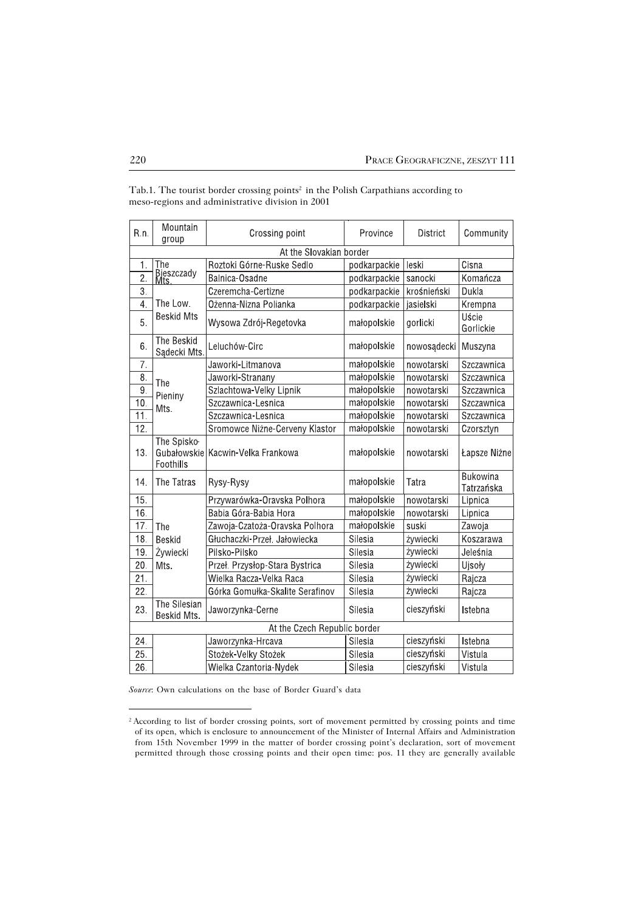| R.n.                         | Mountain<br>group           | Crossing point                    | Province     | <b>District</b> | Community                     |  |  |  |  |  |  |
|------------------------------|-----------------------------|-----------------------------------|--------------|-----------------|-------------------------------|--|--|--|--|--|--|
| At the Slovakian border      |                             |                                   |              |                 |                               |  |  |  |  |  |  |
| 1.                           | The                         | Roztoki Górne-Ruske Sedlo         | podkarpackie | leski           | Cisna                         |  |  |  |  |  |  |
| $\overline{2}$ .             | Bieszczady<br>Mts           | Balnica-Osadne                    | podkarpackie | sanocki         | Komańcza                      |  |  |  |  |  |  |
| 3.                           |                             | Czeremcha-Certizne                | podkarpackie | krośnieński     | Dukla                         |  |  |  |  |  |  |
| 4.                           | The Low.                    | Ożenna-Nizna Polianka             | podkarpackie | jasielski       | Krempna                       |  |  |  |  |  |  |
| 5.                           | <b>Beskid Mts</b>           | Wysowa Zdrój-Regetovka            | małopolskie  | gorlicki        | Uście<br>Gorlickie            |  |  |  |  |  |  |
| 6.                           | The Beskid<br>Sądecki Mts.  | Leluchów-Circ                     | małopolskie  | nowosądecki     | Muszyna                       |  |  |  |  |  |  |
| 7.                           |                             | Jaworki-Litmanova                 | małopolskie  | nowotarski      | Szczawnica                    |  |  |  |  |  |  |
| 8.                           | The                         | Jaworki-Stranany                  | małopolskie  | nowotarski      | Szczawnica                    |  |  |  |  |  |  |
| 9.                           | Pieniny                     | Szlachtowa-Velky Lipnik           | małopolskie  | nowotarski      | Szczawnica                    |  |  |  |  |  |  |
| 10.                          | Mts.                        | Szczawnica-Lesnica                | małopolskie  | nowotarski      | Szczawnica                    |  |  |  |  |  |  |
| $\overline{11}$ .            |                             | Szczawnica-Lesnica                | małopolskie  | nowotarski      | Szczawnica                    |  |  |  |  |  |  |
| 12.                          |                             | Sromowce Niżne-Cerveny Klastor    | małopolskie  | nowotarski      | Czorsztyn                     |  |  |  |  |  |  |
| 13.                          | The Spisko-<br>Foothills    | Gubałowskie Kacwin-Velka Frankowa | małopolskie  | nowotarski      | Łapsze Niżne                  |  |  |  |  |  |  |
| 14.                          | The Tatras                  | Rysy-Rysy                         | małopolskie  | Tatra           | <b>Bukowina</b><br>Tatrzańska |  |  |  |  |  |  |
| 15.                          |                             | Przywarówka-Oravska Polhora       | małopolskie  | nowotarski      | Lipnica                       |  |  |  |  |  |  |
| 16.                          |                             | Babia Góra-Babia Hora             | małopolskie  | nowotarski      | Lipnica                       |  |  |  |  |  |  |
| 17.                          | The                         | Zawoja-Czatoża-Oravska Polhora    | małopolskie  | suski           | Zawoja                        |  |  |  |  |  |  |
| 18.                          | <b>Beskid</b>               | Głuchaczki-Przeł. Jałowiecka      | Silesia      | żywiecki        | Koszarawa                     |  |  |  |  |  |  |
| 19.                          | Żywiecki                    | Pilsko-Pilsko                     | Silesia      | żywiecki        | Jeleśnia                      |  |  |  |  |  |  |
| 20.                          | Mts.                        | Przeł. Przysłop-Stara Bystrica    | Silesia      | żywiecki        | Ujsoły                        |  |  |  |  |  |  |
| 21.                          |                             | Wielka Racza-Velka Raca           | Silesia      | żywiecki        | Rajcza                        |  |  |  |  |  |  |
| 22.                          |                             | Górka Gomułka-Skalite Serafinov   | Silesia      | żywiecki        | Rajcza                        |  |  |  |  |  |  |
| 23.                          | The Silesian<br>Beskid Mts. | Jaworzynka-Cerne                  | Silesia      | cieszyński      | <b>Istebna</b>                |  |  |  |  |  |  |
| At the Czech Republic border |                             |                                   |              |                 |                               |  |  |  |  |  |  |
| 24.                          |                             | Jaworzynka-Hrcava                 | Silesia      | cieszyński      | Istebna                       |  |  |  |  |  |  |
| 25.                          |                             | Stożek-Velky Stożek               | Silesia      | cieszyński      | Vistula                       |  |  |  |  |  |  |
| 26.                          |                             | Wielka Czantoria-Nydek            | Silesia      | cieszyński      | Vistula                       |  |  |  |  |  |  |

Tab.1. The tourist border crossing points<sup>2</sup> in the Polish Carpathians according to meso−regions and administrative division in 2001

*Source*: Own calculations on the base of Border Guard's data

<sup>&</sup>lt;sup>2</sup> According to list of border crossing points, sort of movement permitted by crossing points and time of its open, which is enclosure to announcement of the Minister of Internal Affairs and Administration from 15th November 1999 in the matter of border crossing point's declaration, sort of movement permitted through those crossing points and their open time: pos. 11 they are generally available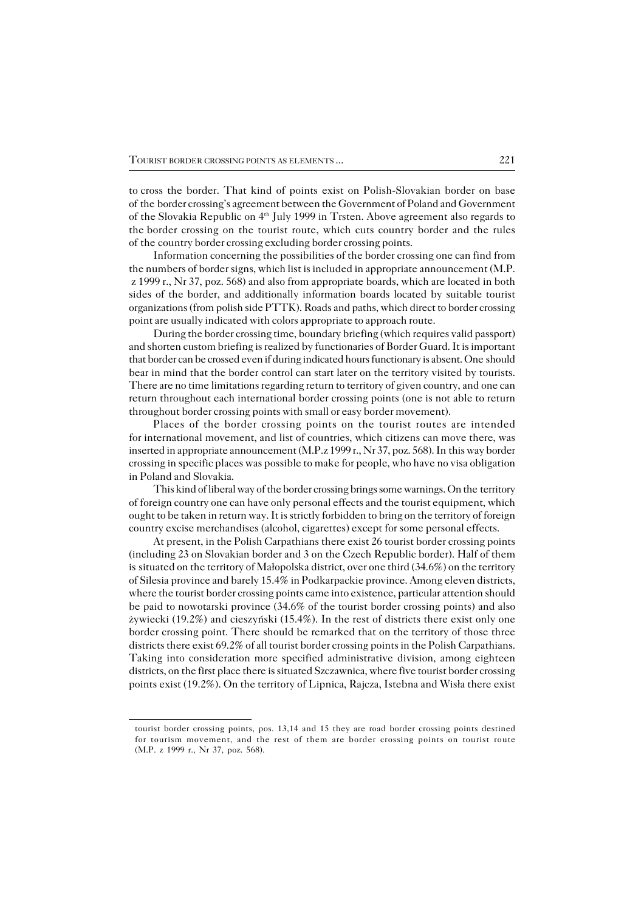tocross the border. That kind of points exist on Polish−Slovakian border on base of the border crossing's agreement between the Government of Poland and Government of the Slovakia Republic on 4th July 1999 in Trsten. Above agreement also regards to the border crossing on the tourist route, which cuts country border and the rules of the country border crossing excluding border crossing points.

Information concerning the possibilities of the border crossing one can find from the numbers of border signs, which list is included in appropriate announcement (M.P. z 1999 r., Nr 37, poz. 568) and also from appropriate boards, which are located in both sides of the border, and additionally information boards located by suitable tourist organizations (from polish side PTTK). Roads and paths, which direct to border crossing point are usually indicated with colors appropriate to approach route.

During the border crossing time, boundary briefing (which requires valid passport) and shorten custom briefing is realized by functionaries of Border Guard. It is important that border can be crossed even if during indicated hours functionary is absent. Oneshould bear in mind that the border control can start later on the territory visited by tourists. There are no time limitations regarding return to territory of given country, and one can return throughout each international border crossing points (one is not able to return throughout border crossing points with small or easy border movement).

Places of the border crossing points on the tourist routes are intended for international movement, and list of countries, which citizens can move there, was inserted in appropriate announcement  $(M.P. z 1999 r., Nr 37, poz. 568)$ . In this way border crossing in specific places was possible to make for people, who have no visa obligation in Poland and Slovakia.

This kind of liberal way of the border crossing brings some warnings. On the territory of foreign country one can have only personal effects and the tourist equipment, which ought to be taken in return way. It is strictly forbidden to bring on the territory of foreign country excise merchandises (alcohol, cigarettes) except for some personal effects.

At present, in the Polish Carpathians there exist 26 tourist border crossing points (including 23 on Slovakian border and 3 on the Czech Republic border). Half of them is situated on the territory of Małopolska district, over one third (34.6%) on the territory of Silesia province and barely 15.4% in Podkarpackie province. Among eleven districts, where the tourist border crossing points came into existence, particular attention should be paid to nowotarski province (34.6% of the tourist border crossing points) and also żywiecki (19.2%) and cieszyński (15.4%). In the rest of districts there exist only one border crossing point. There should be remarked that on the territory of those three districts there exist 69.2% of all tourist border crossing points in the Polish Carpathians. Taking into consideration more specified administrative division, among eighteen districts, on the first place there is situated Szczawnica, where five tourist border crossing points exist (19.2%). On the territory of Lipnica, Rajcza, Istebna and Wisła there exist

tourist border crossing points, pos. 13,14 and 15 they are road border crossing points destined for tourism movement, and the rest of them are border crossing points on tourist route (M.P. z 1999 r., Nr 37, poz. 568).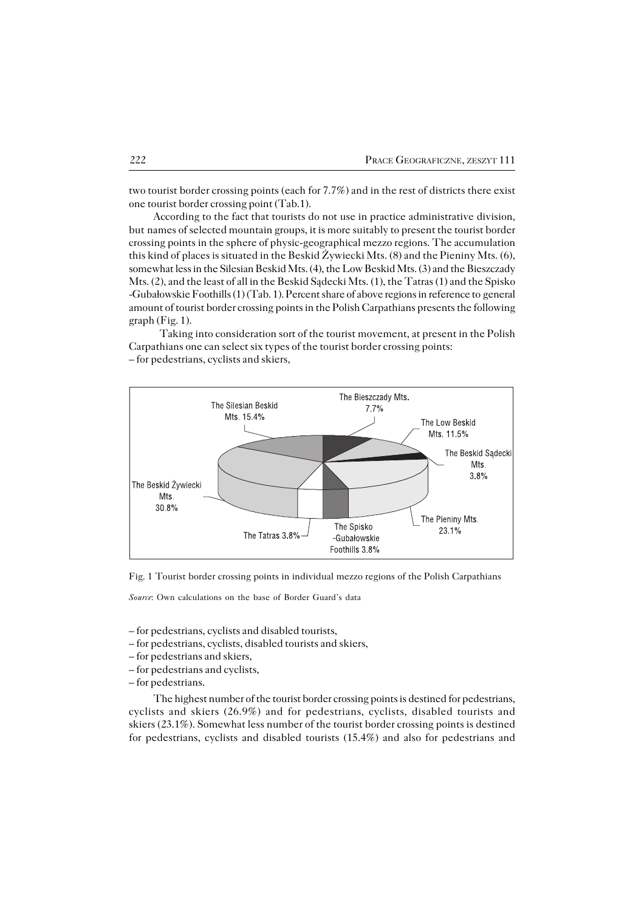two tourist border crossing points (each for 7.7%) and in the rest of districts there exist one tourist border crossing point (Tab.1).

According to the fact that tourists do not use in practice administrative division, but names of selected mountain groups, it is more suitably to present the tourist border crossing points in the sphere of physic−geographical mezzo regions. The accumulation this kind of places is situated in the Beskid Żywiecki Mts. (8) and the Pieniny Mts. (6), somewhat less in the Silesian Beskid Mts. (4), the Low Beskid Mts. (3) and the Bieszczady Mts. (2), and the least of all in the Beskid Sądecki Mts. (1), the Tatras (1) and the Spisko −Gubałowskie Foothills (1) (Tab. 1). Percent share of above regions in reference togeneral amount of tourist border crossing points in the Polish Carpathians presents the following graph (Fig. 1).

Taking into consideration sort of the tourist movement, at present in the Polish Carpathians one can select six types of the tourist border crossing points: – for pedestrians, cyclists and skiers,



Fig. 1 Tourist border crossing points in individual mezzo regions of the Polish Carpathians

*Source*: Own calculations on the base of Border Guard's data

– for pedestrians, cyclists and disabled tourists,

- for pedestrians, cyclists, disabled tourists and skiers,
- for pedestrians and skiers,
- for pedestrians and cyclists,
- for pedestrians.

The highest number of the tourist border crossing points is destined for pedestrians, cyclists and skiers (26.9%) and for pedestrians, cyclists, disabled tourists and skiers (23.1%). Somewhat less number of the tourist border crossing points is destined for pedestrians, cyclists and disabled tourists (15.4%) and also for pedestrians and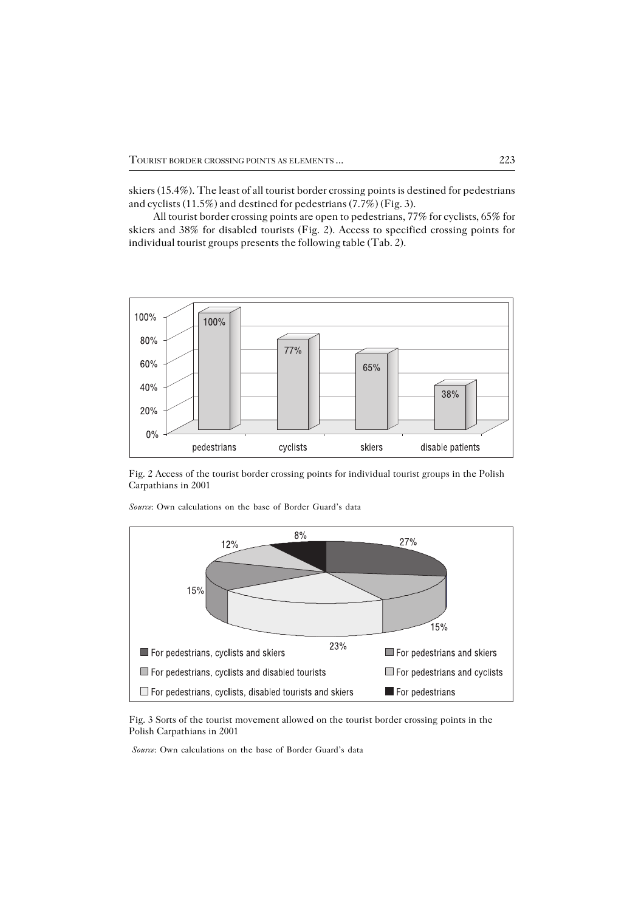skiers (15.4%). The least of all tourist border crossing points is destined for pedestrians and cyclists (11.5%) and destined for pedestrians (7.7%) (Fig. 3).

All tourist border crossing points are open to pedestrians, 77% for cyclists, 65% for skiers and 38% for disabled tourists (Fig. 2). Access to specified crossing points for individual tourist groups presents the following table (Tab. 2).



Fig. 2 Access of the tourist border crossing points for individual tourist groups in the Polish Carpathians in 2001



*Source*: Own calculations on the base of Border Guard's data

Fig. 3 Sorts of the tourist movement allowed on the tourist border crossing points in the Polish Carpathians in 2001

 *Source*: Own calculations on the base of Border Guard's data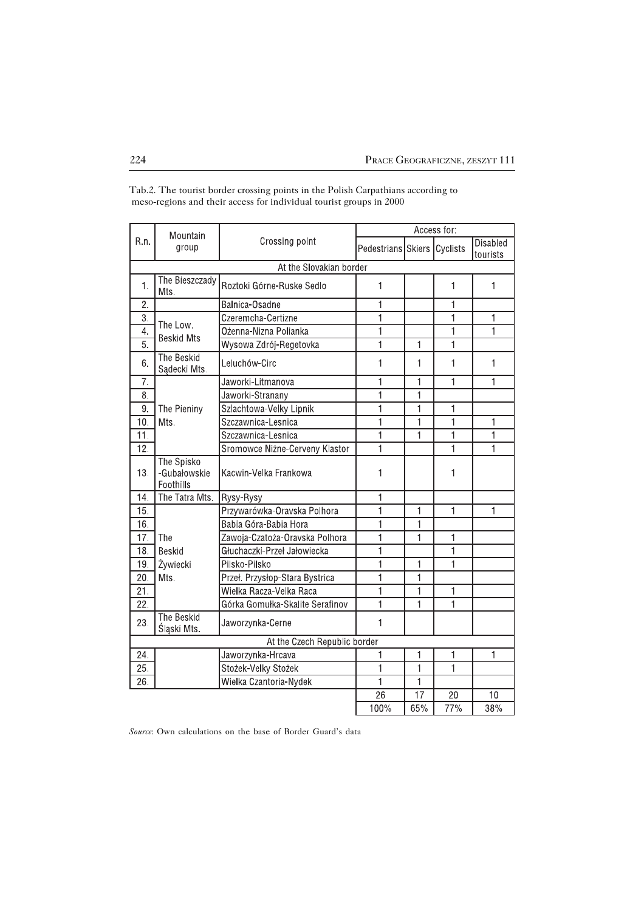|                         | Mountain<br>group                       | Crossing point                  | Access for:                 |                |              |                             |  |  |  |  |
|-------------------------|-----------------------------------------|---------------------------------|-----------------------------|----------------|--------------|-----------------------------|--|--|--|--|
| R.n.                    |                                         |                                 | Pedestrians Skiers Cyclists |                |              | <b>Disabled</b><br>tourists |  |  |  |  |
| At the Slovakian border |                                         |                                 |                             |                |              |                             |  |  |  |  |
| 1.                      | The Bieszczady<br>Mts.                  | Roztoki Górne-Ruske Sedlo       | 1                           |                | 1            | 1                           |  |  |  |  |
| 2.                      |                                         | Balnica-Osadne                  | 1                           |                | 1            |                             |  |  |  |  |
| 3.                      | The Low.                                | Czeremcha-Certizne              | 1                           |                | $\mathbf{1}$ | 1                           |  |  |  |  |
| $\overline{4}$ .        | <b>Beskid Mts</b>                       | Ożenna-Nizna Polianka           | $\overline{1}$              |                | $\mathbf{1}$ | $\overline{1}$              |  |  |  |  |
| $\overline{5}$ .        |                                         | Wysowa Zdrój-Regetovka          | $\overline{1}$              | $\mathbf{1}$   | 1            |                             |  |  |  |  |
| 6.                      | <b>The Beskid</b><br>Sądecki Mts.       | Leluchów-Circ                   | 1                           | 1              | 1            | 1                           |  |  |  |  |
| 7.                      |                                         | Jaworki-Litmanova               | 1                           | $\mathbf{1}$   | 1            | 1                           |  |  |  |  |
| 8.                      |                                         | Jaworki-Stranany                | 1                           | 1              |              |                             |  |  |  |  |
| 9.                      | The Pieniny                             | Szlachtowa-Velky Lipnik         | $\overline{1}$              | $\overline{1}$ | 1            |                             |  |  |  |  |
| 10.                     | Mts.                                    | Szczawnica-Lesnica              | $\mathbf{1}$                | $\mathbf{1}$   | 1            | 1                           |  |  |  |  |
| 11.                     |                                         | Szczawnica-Lesnica              | $\mathbf{1}$                | $\overline{1}$ | $\mathbf{1}$ | 1                           |  |  |  |  |
| 12.                     |                                         | Sromowce Nizne-Cerveny Klastor  | 1                           |                | $\mathbf{1}$ | 1                           |  |  |  |  |
| 13.                     | The Spisko<br>-Gubałowskie<br>Foothills | Kacwin-Velka Frankowa           | 1                           |                | 1            |                             |  |  |  |  |
| 14.                     | The Tatra Mts.                          | Rysy-Rysy                       | $\mathbf{1}$                |                |              |                             |  |  |  |  |
| 15.                     |                                         | Przywarówka-Oravska Polhora     | 1                           | $\mathbf{1}$   | 1            | 1                           |  |  |  |  |
| 16.                     |                                         | Babia Góra-Babia Hora           | $\overline{1}$              | 1              |              |                             |  |  |  |  |
| 17.                     | The                                     | Zawoja-Czatoża-Oravska Polhora  | 1                           | $\mathbf{1}$   | 1            |                             |  |  |  |  |
| 18.                     | <b>Beskid</b>                           | Głuchaczki-Przeł Jałowiecka     | $\mathbf{1}$                |                | 1            |                             |  |  |  |  |
| 19.                     | Żywiecki                                | Pilsko-Pilsko                   | 1                           | 1              | 1            |                             |  |  |  |  |
| 20.                     | Mts.                                    | Przeł. Przysłop-Stara Bystrica  | $\mathbf{1}$                | 1              |              |                             |  |  |  |  |
| 21.                     |                                         | Wielka Racza-Velka Raca         | 1                           | 1              | 1            |                             |  |  |  |  |
| $\overline{22}$ .       |                                         | Górka Gomułka-Skalite Serafinov | $\mathbf{1}$                | 1              | $\mathbf{1}$ |                             |  |  |  |  |
| 23.                     | The Beskid<br>Śląski Mts.               | Jaworzynka-Cerne                | 1                           |                |              |                             |  |  |  |  |
|                         |                                         | At the Czech Republic border    |                             |                |              |                             |  |  |  |  |
| 24.                     |                                         | Jaworzynka-Hrcava               | 1                           | 1              | 1            | 1                           |  |  |  |  |
| 25.                     |                                         | Stożek-Velky Stożek             | 1                           | 1              | 1            |                             |  |  |  |  |
| 26.                     |                                         | Wielka Czantoria-Nydek          | $\overline{1}$              | $\overline{1}$ |              |                             |  |  |  |  |
|                         |                                         |                                 | 26                          | 17             | 20           | 10                          |  |  |  |  |
|                         |                                         |                                 | 100%                        | 65%            | 77%          | 38%                         |  |  |  |  |

Tab.2. The tourist border crossing points in the Polish Carpathians according to meso−regions and their access for individual tourist groups in 2000

*Source*: Own calculations on the base of Border Guard's data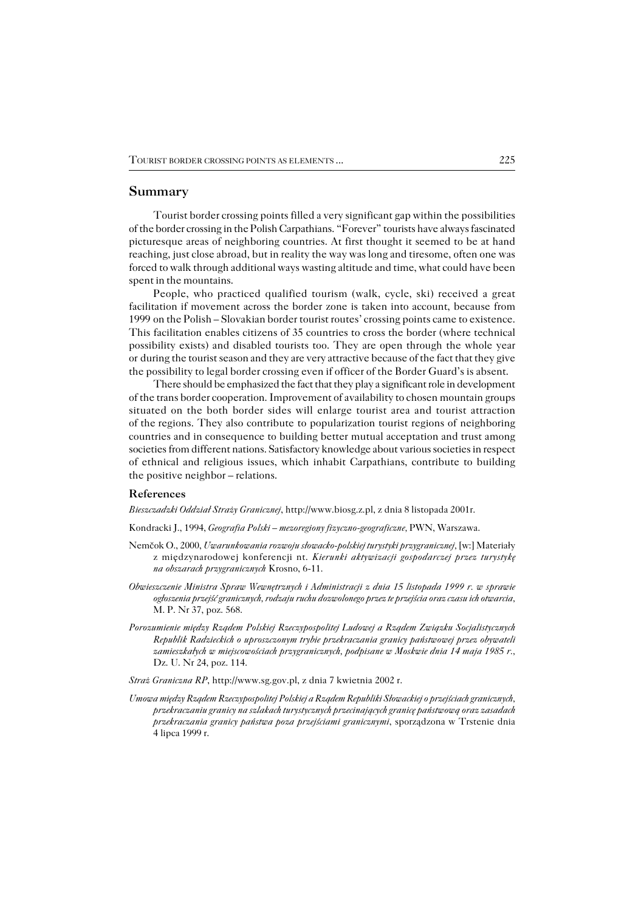### **Summary**

Tourist border crossing points filled a very significant gap within the possibilities of the border crossing in the Polish Carpathians. "Forever" tourists have always fascinated picturesque areas of neighboring countries. At first thought it seemed to be at hand reaching, just close abroad, but in reality the way was long and tiresome, often one was forced to walk through additional ways wasting altitude and time, what could have been spent in the mountains.

People, who practiced qualified tourism (walk, cycle, ski) received a great facilitation if movement across the border zone is taken into account, because from 1999on the Polish – Slovakian border tourist routes' crossing points came to existence. This facilitation enables citizens of 35 countries to cross the border (where technical possibility exists) and disabled tourists too. They are open through the whole year or during the tourist season and they are very attractive because of the fact that they give the possibility to legal border crossing even if officer of the Border Guard's is absent.

There should be emphasized the fact that they play a significant role in development of the trans border cooperation. Improvement of availability to chosen mountain groups situated on the both border sides will enlarge tourist area and tourist attraction of the regions. They also contribute to popularization tourist regions of neighboring countries and in consequence to building better mutual acceptation and trust among societies from different nations. Satisfactory knowledge about various societies in respect of ethnical and religious issues, which inhabit Carpathians, contribute to building the positive neighbor – relations.

#### **References**

*Bieszczadzki Oddział Straży Granicznej*, http://www.biosg.z.pl, z dnia 8 listopada 2001r.

Kondracki J., 1994, *Geografia Polski – mezoregiony fizyczno−geograficzne,* PWN, Warszawa.

- Nemčok O., 2000, *Uwarunkowania rozwoju słowacko−polskiej turystyki przygranicznej,* [w:] Materiały z międzynarodowej konferencji nt. *Kierunki aktywizacji gospodarczej przez turystykę na obszarach przygranicznych* Krosno, 6−11.
- *Obwieszczenie Ministra Spraw Wewnętrznych i Administracji z dnia 15 listopada 1999 r. w sprawie ogłoszenia przejść granicznych, rodzaju ruchu dozwolonego przez te przejścia oraz czasu ich otwarcia,* M. P. Nr 37, poz. 568.
- *Porozumienie między Rządem Polskiej Rzeczypospolitej Ludowej a Rządem Związku Socjalistycznych Republik Radzieckich o uproszczonym trybie przekraczania granicy państwowej przez obywateli zamieszkałych w miejscowościach przygranicznych, podpisane w Moskwie dnia 14 maja 1985 r.,* Dz. U. Nr 24, poz. 114.

*Straż Graniczna RP*, http://www.sg.gov.pl, z dnia 7 kwietnia 2002 r.

*Umowa między Rządem Rzeczypospolitej Polskiej a Rządem Republiki Słowackiej o przejściach granicznych, przekraczaniu granicy na szlakach turystycznych przecinających granicę państwową oraz zasadach przekraczania granicy państwa poza przejściami granicznymi*, sporządzona w Trstenie dnia 4 lipca 1999 r.